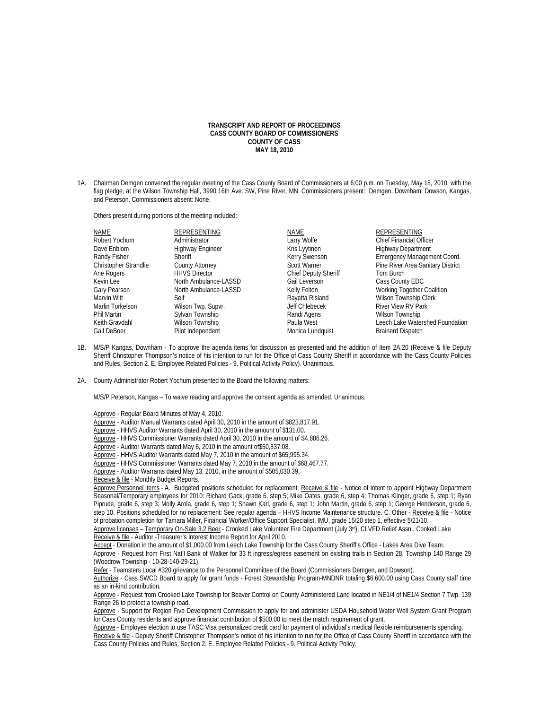### **TRANSCRIPT AND REPORT OF PROCEEDINGS CASS COUNTY BOARD OF COMMISSIONERS COUNTY OF CASS MAY 18, 2010**

1A. Chairman Demgen convened the regular meeting of the Cass County Board of Commissioners at 6:00 p.m. on Tuesday, May 18, 2010, with the flag pledge, at the Wilson Township Hall, 3990 16th Ave. SW, Pine River, MN. Commissioners present: Demgen, Downham, Dowson, Kangas, and Peterson. Commissioners absent: None.

Others present during portions of the meeting included:

| NAME                  | REPRESENTING           | NAME                        | REPRESENTING                      |
|-----------------------|------------------------|-----------------------------|-----------------------------------|
| Robert Yochum         | Administrator          | Larry Wolfe                 | <b>Chief Financial Officer</b>    |
| Dave Enblom           | Highway Engineer       | Kris Lyytinen               | <b>Highway Department</b>         |
| Randy Fisher          | Sheriff                | Kerry Swenson               | Emergency Management Coord.       |
| Christopher Strandlie | <b>County Attorney</b> | <b>Scott Warner</b>         | Pine River Area Sanitary District |
| Ane Rogers            | <b>HHVS Director</b>   | <b>Chief Deputy Sheriff</b> | Tom Burch                         |
| Kevin Lee             | North Ambulance-LASSD  | Gail Leverson               | Cass County EDC                   |
| Gary Pearson          | North Ambulance-LASSD  | Kelly Felton                | Working Together Coalition        |
| Marvin Witt           | Self                   | Rayetta Risland             | Wilson Township Clerk             |
| Marlin Torkelson      | Wilson Twp. Supvr.     | Jeff Chlebecek              | <b>River View RV Park</b>         |
| <b>Phil Martin</b>    | Sylvan Township        | Randi Agens                 | Wilson Township                   |
| Keith Gravdahl        | Wilson Township        | Paula West                  | Leech Lake Watershed Foundation   |
| Gail DeBoer           | Pilot Independent      | Monica Lundquist            | <b>Brainerd Dispatch</b>          |

- 1B. M/S/P Kangas, Downham To approve the agenda items for discussion as presented and the addition of Item 2A.20 (Receive & file Deputy Sheriff Christopher Thompson's notice of his intention to run for the Office of Cass County Sheriff in accordance with the Cass County Policies and Rules, Section 2. E. Employee Related Policies - 9. Political Activity Policy). Unanimous.
- 2A. County Administrator Robert Yochum presented to the Board the following matters:

M/S/P Peterson, Kangas – To waive reading and approve the consent agenda as amended. Unanimous.

- Approve Regular Board Minutes of May 4, 2010.
- Approve Auditor Manual Warrants dated April 30, 2010 in the amount of \$823,817.91.
- Approve HHVS Auditor Warrants dated April 30, 2010 in the amount of \$131.00.
- Approve HHVS Commissioner Warrants dated April 30, 2010 in the amount of \$4,886.26.
- Approve Auditor Warrants dated May 6, 2010 in the amount of\$50,837.08.
- Approve HHVS Auditor Warrants dated May 7, 2010 in the amount of \$65,995.34.
- Approve HHVS Commissioner Warrants dated May 7, 2010 in the amount of \$68,467.77.
- Approve Auditor Warrants dated May 13, 2010, in the amount of \$505,030.39.
- Receive & file Monthly Budget Reports.

Approve Personnel Items - A. Budgeted positions scheduled for replacement: Receive & file - Notice of intent to appoint Highway Department Seasonal/Temporary employees for 2010: Richard Gack, grade 6, step 5; Mike Oates, grade 6, step 4; Thomas Klinger, grade 6, step 1; Ryan Piprude, grade 6, step 3; Molly Arola, grade 6, step 1; Shawn Karl, grade 6, step 1; John Martin, grade 6, step 1; George Henderson, grade 6, step 10. Positions scheduled for no replacement: See regular agenda - HHVS Income Maintenance structure. C. Other - Receive & file - Notice of probation completion for Tamara Miller, Financial Worker/Office Support Specialist, IMU, grade 15/20 step 1, effective 5/21/10.

 Approve licenses – Temporary On-Sale 3.2 Beer - Crooked Lake Volunteer Fire Department (July 3rd), CLVFD Relief Assn., Cooked Lake Receive & file - Auditor -Treasurer's Interest Income Report for April 2010.

Accept - Donation in the amount of \$1,000.00 from Leech Lake Township for the Cass County Sheriff's Office - Lakes Area Dive Team.

 Approve - Request from First Nat'l Bank of Walker for 33 ft ingress/egress easement on existing trails in Section 28, Township 140 Range 29 (Woodrow Township - 10-28-140-29-21).

Refer - Teamsters Local #320 grievance to the Personnel Committee of the Board (Commissioners Demgen, and Dowson).

 Authorize - Cass SWCD Board to apply for grant funds - Forest Stewardship Program-MNDNR totaling \$6,600.00 using Cass County staff time as an in-kind contribution.

Approve - Request from Crooked Lake Township for Beaver Control on County Administered Land located in NE1/4 of NE1/4 Section 7 Twp. 139 Range 26 to protect a township road.

Approve - Support for Region Five Development Commission to apply for and administer USDA Household Water Well System Grant Program for Cass County residents and approve financial contribution of \$500.00 to meet the match requirement of grant.

Approve - Employee election to use TASC Visa personalized credit card for payment of individual's medical flexible reimbursements spending. Receive & file - Deputy Sheriff Christopher Thompson's notice of his intention to run for the Office of Cass County Sheriff in accordance with the Cass County Policies and Rules, Section 2. E. Employee Related Policies - 9. Political Activity Policy.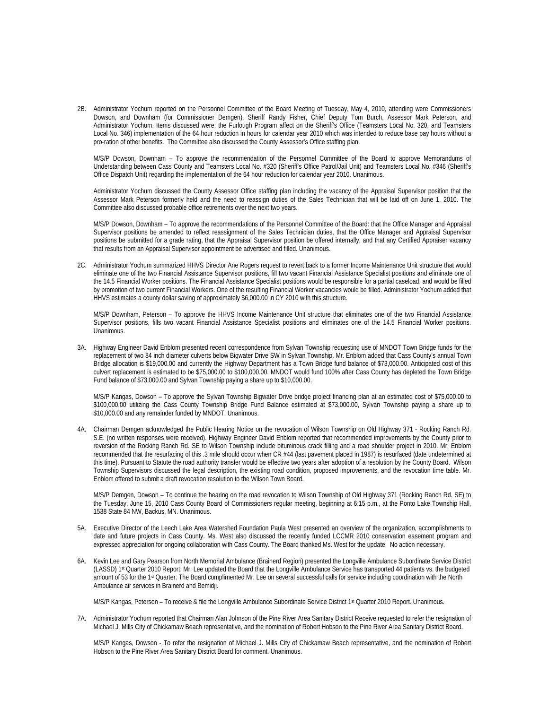2B. Administrator Yochum reported on the Personnel Committee of the Board Meeting of Tuesday, May 4, 2010, attending were Commissioners Dowson, and Downham (for Commissioner Demgen), Sheriff Randy Fisher, Chief Deputy Tom Burch, Assessor Mark Peterson, and Administrator Yochum. Items discussed were: the Furlough Program affect on the Sheriff's Office (Teamsters Local No. 320, and Teamsters Local No. 346) implementation of the 64 hour reduction in hours for calendar year 2010 which was intended to reduce base pay hours without a pro-ration of other benefits. The Committee also discussed the County Assessor's Office staffing plan.

M/S/P Dowson, Downham – To approve the recommendation of the Personnel Committee of the Board to approve Memorandums of Understanding between Cass County and Teamsters Local No. #320 (Sheriff's Office Patrol/Jail Unit) and Teamsters Local No. #346 (Sheriff's Office Dispatch Unit) regarding the implementation of the 64 hour reduction for calendar year 2010. Unanimous.

Administrator Yochum discussed the County Assessor Office staffing plan including the vacancy of the Appraisal Supervisor position that the Assessor Mark Peterson formerly held and the need to reassign duties of the Sales Technician that will be laid off on June 1, 2010. The Committee also discussed probable office retirements over the next two years.

M/S/P Dowson, Downham – To approve the recommendations of the Personnel Committee of the Board: that the Office Manager and Appraisal Supervisor positions be amended to reflect reassignment of the Sales Technician duties, that the Office Manager and Appraisal Supervisor positions be submitted for a grade rating, that the Appraisal Supervisor position be offered internally, and that any Certified Appraiser vacancy that results from an Appraisal Supervisor appointment be advertised and filled. Unanimous.

2C. Administrator Yochum summarized HHVS Director Ane Rogers request to revert back to a former Income Maintenance Unit structure that would eliminate one of the two Financial Assistance Supervisor positions, fill two vacant Financial Assistance Specialist positions and eliminate one of the 14.5 Financial Worker positions. The Financial Assistance Specialist positions would be responsible for a partial caseload, and would be filled by promotion of two current Financial Workers. One of the resulting Financial Worker vacancies would be filled. Administrator Yochum added that HHVS estimates a county dollar saving of approximately \$6,000.00 in CY 2010 with this structure.

M/S/P Downham, Peterson – To approve the HHVS Income Maintenance Unit structure that eliminates one of the two Financial Assistance Supervisor positions, fills two vacant Financial Assistance Specialist positions and eliminates one of the 14.5 Financial Worker positions. Unanimous.

3A. Highway Engineer David Enblom presented recent correspondence from Sylvan Township requesting use of MNDOT Town Bridge funds for the replacement of two 84 inch diameter culverts below Bigwater Drive SW in Sylvan Township. Mr. Enblom added that Cass County's annual Town Bridge allocation is \$19,000.00 and currently the Highway Department has a Town Bridge fund balance of \$73,000.00. Anticipated cost of this culvert replacement is estimated to be \$75,000.00 to \$100,000.00. MNDOT would fund 100% after Cass County has depleted the Town Bridge Fund balance of \$73,000.00 and Sylvan Township paying a share up to \$10,000.00.

M/S/P Kangas, Dowson – To approve the Sylvan Township Bigwater Drive bridge project financing plan at an estimated cost of \$75,000.00 to \$100,000.00 utilizing the Cass County Township Bridge Fund Balance estimated at \$73,000.00, Sylvan Township paying a share up to \$10,000.00 and any remainder funded by MNDOT. Unanimous.

4A. Chairman Demgen acknowledged the Public Hearing Notice on the revocation of Wilson Township on Old Highway 371 - Rocking Ranch Rd. S.E. (no written responses were received). Highway Engineer David Enblom reported that recommended improvements by the County prior to reversion of the Rocking Ranch Rd. SE to Wilson Township include bituminous crack filling and a road shoulder project in 2010. Mr. Enblom recommended that the resurfacing of this .3 mile should occur when CR #44 (last pavement placed in 1987) is resurfaced (date undetermined at this time). Pursuant to Statute the road authority transfer would be effective two years after adoption of a resolution by the County Board. Wilson Township Supervisors discussed the legal description, the existing road condition, proposed improvements, and the revocation time table. Mr. Enblom offered to submit a draft revocation resolution to the Wilson Town Board.

M/S/P Demgen, Dowson – To continue the hearing on the road revocation to Wilson Township of Old Highway 371 (Rocking Ranch Rd. SE) to the Tuesday, June 15, 2010 Cass County Board of Commissioners regular meeting, beginning at 6:15 p.m., at the Ponto Lake Township Hall, 1538 State 84 NW, Backus, MN. Unanimous.

- 5A. Executive Director of the Leech Lake Area Watershed Foundation Paula West presented an overview of the organization, accomplishments to date and future projects in Cass County. Ms. West also discussed the recently funded LCCMR 2010 conservation easement program and expressed appreciation for ongoing collaboration with Cass County. The Board thanked Ms. West for the update. No action necessary.
- 6A. Kevin Lee and Gary Pearson from North Memorial Ambulance (Brainerd Region) presented the Longville Ambulance Subordinate Service District (LASSD) 1st Quarter 2010 Report. Mr. Lee updated the Board that the Longville Ambulance Service has transported 44 patients vs. the budgeted amount of 53 for the 1st Quarter. The Board complimented Mr. Lee on several successful calls for service including coordination with the North Ambulance air services in Brainerd and Bemidji.

M/S/P Kangas, Peterson - To receive & file the Longville Ambulance Subordinate Service District 1<sup>st</sup> Quarter 2010 Report. Unanimous.

7A. Administrator Yochum reported that Chairman Alan Johnson of the Pine River Area Sanitary District Receive requested to refer the resignation of Michael J. Mills City of Chickamaw Beach representative, and the nomination of Robert Hobson to the Pine River Area Sanitary District Board.

 M/S/P Kangas, Dowson - To refer the resignation of Michael J. Mills City of Chickamaw Beach representative, and the nomination of Robert Hobson to the Pine River Area Sanitary District Board for comment. Unanimous.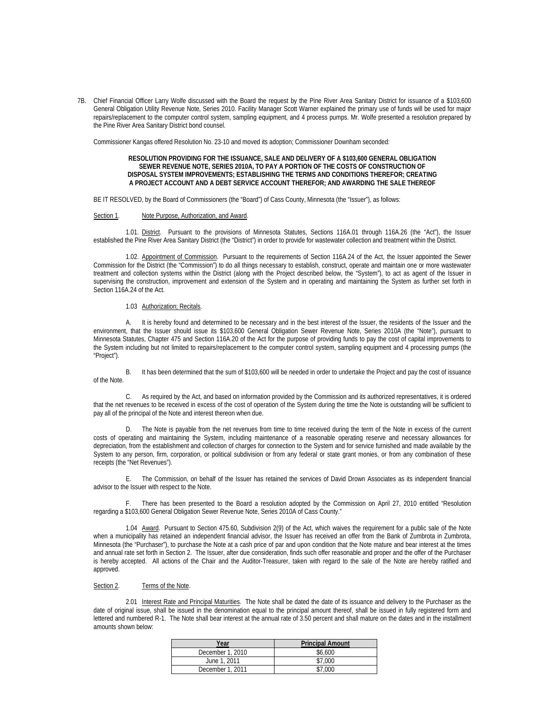7B. Chief Financial Officer Larry Wolfe discussed with the Board the request by the Pine River Area Sanitary District for issuance of a \$103,600 General Obligation Utility Revenue Note, Series 2010. Facility Manager Scott Warner explained the primary use of funds will be used for major repairs/replacement to the computer control system, sampling equipment, and 4 process pumps. Mr. Wolfe presented a resolution prepared by the Pine River Area Sanitary District bond counsel.

Commissioner Kangas offered Resolution No. 23-10 and moved its adoption; Commissioner Downham seconded:

### **RESOLUTION PROVIDING FOR THE ISSUANCE, SALE AND DELIVERY OF A \$103,600 GENERAL OBLIGATION SEWER REVENUE NOTE, SERIES 2010A, TO PAY A PORTION OF THE COSTS OF CONSTRUCTION OF DISPOSAL SYSTEM IMPROVEMENTS; ESTABLISHING THE TERMS AND CONDITIONS THEREFOR; CREATING A PROJECT ACCOUNT AND A DEBT SERVICE ACCOUNT THEREFOR; AND AWARDING THE SALE THEREOF**

BE IT RESOLVED, by the Board of Commissioners (the "Board") of Cass County, Minnesota (the "Issuer"), as follows:

# Section 1. Note Purpose, Authorization, and Award.

1.01. District. Pursuant to the provisions of Minnesota Statutes, Sections 116A.01 through 116A.26 (the "Act"), the Issuer established the Pine River Area Sanitary District (the "District") in order to provide for wastewater collection and treatment within the District.

1.02. Appointment of Commission. Pursuant to the requirements of Section 116A.24 of the Act, the Issuer appointed the Sewer Commission for the District (the "Commission") to do all things necessary to establish, construct, operate and maintain one or more wastewater treatment and collection systems within the District (along with the Project described below, the "System"), to act as agent of the Issuer in supervising the construction, improvement and extension of the System and in operating and maintaining the System as further set forth in Section 116A.24 of the Act.

# 1.03 Authorization; Recitals.

A. It is hereby found and determined to be necessary and in the best interest of the Issuer, the residents of the Issuer and the environment, that the Issuer should issue its \$103,600 General Obligation Sewer Revenue Note, Series 2010A (the "Note"), pursuant to Minnesota Statutes, Chapter 475 and Section 116A.20 of the Act for the purpose of providing funds to pay the cost of capital improvements to the System including but not limited to repairs/replacement to the computer control system, sampling equipment and 4 processing pumps (the "Project").

B. It has been determined that the sum of \$103,600 will be needed in order to undertake the Project and pay the cost of issuance of the Note.

C. As required by the Act, and based on information provided by the Commission and its authorized representatives, it is ordered that the net revenues to be received in excess of the cost of operation of the System during the time the Note is outstanding will be sufficient to pay all of the principal of the Note and interest thereon when due.

D. The Note is payable from the net revenues from time to time received during the term of the Note in excess of the current costs of operating and maintaining the System, including maintenance of a reasonable operating reserve and necessary allowances for depreciation, from the establishment and collection of charges for connection to the System and for service furnished and made available by the System to any person, firm, corporation, or political subdivision or from any federal or state grant monies, or from any combination of these receipts (the "Net Revenues").

E. The Commission, on behalf of the Issuer has retained the services of David Drown Associates as its independent financial advisor to the Issuer with respect to the Note.

F. There has been presented to the Board a resolution adopted by the Commission on April 27, 2010 entitled "Resolution regarding a \$103,600 General Obligation Sewer Revenue Note, Series 2010A of Cass County."

1.04 Award. Pursuant to Section 475.60, Subdivision 2(9) of the Act, which waives the requirement for a public sale of the Note when a municipality has retained an independent financial advisor, the Issuer has received an offer from the Bank of Zumbrota in Zumbrota, Minnesota (the "Purchaser"), to purchase the Note at a cash price of par and upon condition that the Note mature and bear interest at the times and annual rate set forth in Section 2. The Issuer, after due consideration, finds such offer reasonable and proper and the offer of the Purchaser is hereby accepted. All actions of the Chair and the Auditor-Treasurer, taken with regard to the sale of the Note are hereby ratified and approved.

# Section 2. Terms of the Note.

2.01 Interest Rate and Principal Maturities. The Note shall be dated the date of its issuance and delivery to the Purchaser as the date of original issue, shall be issued in the denomination equal to the principal amount thereof, shall be issued in fully registered form and lettered and numbered R-1. The Note shall bear interest at the annual rate of 3.50 percent and shall mature on the dates and in the installment amounts shown below:

| Year             | <b>Principal Amount</b> |
|------------------|-------------------------|
| December 1, 2010 | \$6,600                 |
| June 1, 2011     | \$7,000                 |
| December 1, 2011 | \$7,000                 |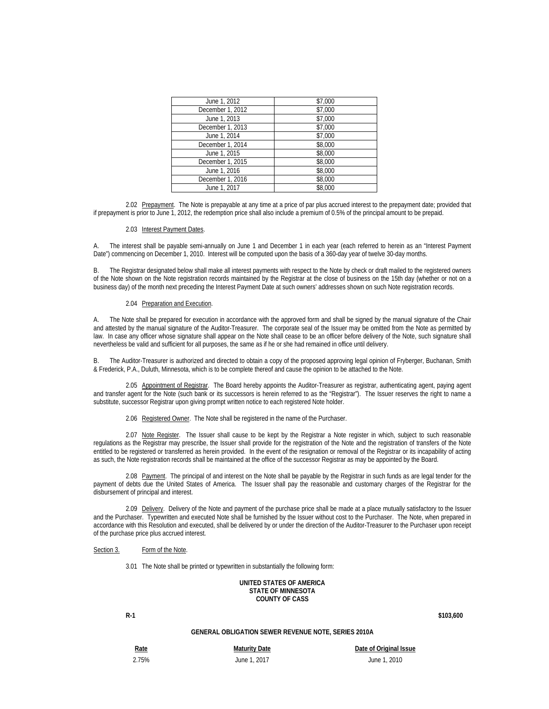| June 1, 2012     | \$7,000 |
|------------------|---------|
| December 1, 2012 | \$7,000 |
| June 1, 2013     | \$7,000 |
| December 1, 2013 | \$7,000 |
| June 1, 2014     | \$7,000 |
| December 1, 2014 | \$8,000 |
| June 1, 2015     | \$8,000 |
| December 1, 2015 | \$8,000 |
| June 1, 2016     | \$8,000 |
| December 1, 2016 | \$8,000 |
| June 1, 2017     | \$8,000 |

2.02 Prepayment. The Note is prepayable at any time at a price of par plus accrued interest to the prepayment date; provided that if prepayment is prior to June 1, 2012, the redemption price shall also include a premium of 0.5% of the principal amount to be prepaid.

# 2.03 Interest Payment Dates.

A. The interest shall be payable semi-annually on June 1 and December 1 in each year (each referred to herein as an "Interest Payment Date") commencing on December 1, 2010. Interest will be computed upon the basis of a 360-day year of twelve 30-day months.

B. The Registrar designated below shall make all interest payments with respect to the Note by check or draft mailed to the registered owners of the Note shown on the Note registration records maintained by the Registrar at the close of business on the 15th day (whether or not on a business day) of the month next preceding the Interest Payment Date at such owners' addresses shown on such Note registration records.

### 2.04 Preparation and Execution.

A. The Note shall be prepared for execution in accordance with the approved form and shall be signed by the manual signature of the Chair and attested by the manual signature of the Auditor-Treasurer. The corporate seal of the Issuer may be omitted from the Note as permitted by law. In case any officer whose signature shall appear on the Note shall cease to be an officer before delivery of the Note, such signature shall nevertheless be valid and sufficient for all purposes, the same as if he or she had remained in office until delivery.

B. The Auditor-Treasurer is authorized and directed to obtain a copy of the proposed approving legal opinion of Fryberger, Buchanan, Smith & Frederick, P.A., Duluth, Minnesota, which is to be complete thereof and cause the opinion to be attached to the Note.

2.05 Appointment of Registrar. The Board hereby appoints the Auditor-Treasurer as registrar, authenticating agent, paying agent and transfer agent for the Note (such bank or its successors is herein referred to as the "Registrar"). The Issuer reserves the right to name a substitute, successor Registrar upon giving prompt written notice to each registered Note holder.

2.06 Registered Owner. The Note shall be registered in the name of the Purchaser.

2.07 Note Register. The Issuer shall cause to be kept by the Registrar a Note register in which, subject to such reasonable regulations as the Registrar may prescribe, the Issuer shall provide for the registration of the Note and the registration of transfers of the Note entitled to be registered or transferred as herein provided. In the event of the resignation or removal of the Registrar or its incapability of acting as such, the Note registration records shall be maintained at the office of the successor Registrar as may be appointed by the Board.

2.08 Payment. The principal of and interest on the Note shall be payable by the Registrar in such funds as are legal tender for the payment of debts due the United States of America. The Issuer shall pay the reasonable and customary charges of the Registrar for the disbursement of principal and interest.

2.09 Delivery. Delivery of the Note and payment of the purchase price shall be made at a place mutually satisfactory to the Issuer and the Purchaser. Typewritten and executed Note shall be furnished by the Issuer without cost to the Purchaser. The Note, when prepared in accordance with this Resolution and executed, shall be delivered by or under the direction of the Auditor-Treasurer to the Purchaser upon receipt of the purchase price plus accrued interest.

# Section 3. Form of the Note.

3.01 The Note shall be printed or typewritten in substantially the following form:

**UNITED STATES OF AMERICA STATE OF MINNESOTA COUNTY OF CASS** 

**R-1** \$103,600 **\$103,600** 

# **GENERAL OBLIGATION SEWER REVENUE NOTE, SERIES 2010A**

2.75% June 1, 2017 June 1, 2010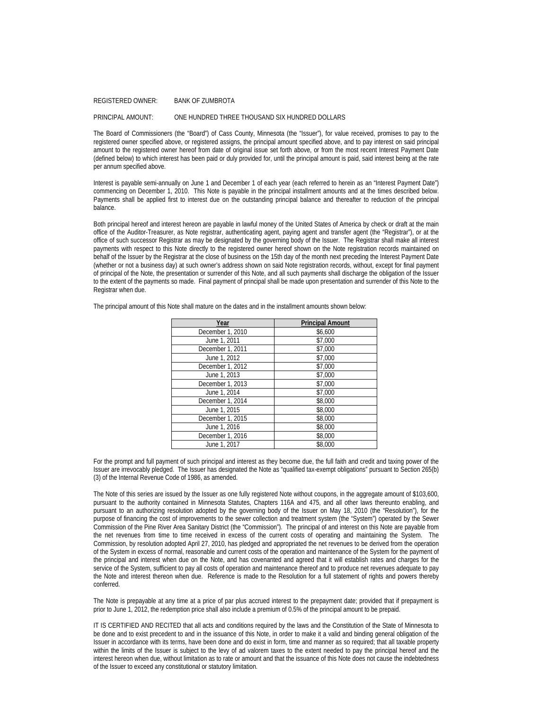#### REGISTERED OWNER: BANK OF ZUMBROTA

# PRINCIPAL AMOUNT: ONE HUNDRED THREE THOUSAND SIX HUNDRED DOLLARS

The Board of Commissioners (the "Board") of Cass County, Minnesota (the "Issuer"), for value received, promises to pay to the registered owner specified above, or registered assigns, the principal amount specified above, and to pay interest on said principal amount to the registered owner hereof from date of original issue set forth above, or from the most recent Interest Payment Date (defined below) to which interest has been paid or duly provided for, until the principal amount is paid, said interest being at the rate per annum specified above.

Interest is payable semi-annually on June 1 and December 1 of each year (each referred to herein as an "Interest Payment Date") commencing on December 1, 2010. This Note is payable in the principal installment amounts and at the times described below. Payments shall be applied first to interest due on the outstanding principal balance and thereafter to reduction of the principal balance.

Both principal hereof and interest hereon are payable in lawful money of the United States of America by check or draft at the main office of the Auditor-Treasurer, as Note registrar, authenticating agent, paying agent and transfer agent (the "Registrar"), or at the office of such successor Registrar as may be designated by the governing body of the Issuer. The Registrar shall make all interest payments with respect to this Note directly to the registered owner hereof shown on the Note registration records maintained on behalf of the Issuer by the Registrar at the close of business on the 15th day of the month next preceding the Interest Payment Date (whether or not a business day) at such owner's address shown on said Note registration records, without, except for final payment of principal of the Note, the presentation or surrender of this Note, and all such payments shall discharge the obligation of the Issuer to the extent of the payments so made. Final payment of principal shall be made upon presentation and surrender of this Note to the Registrar when due.

| Year             | <b>Principal Amount</b> |
|------------------|-------------------------|
| December 1, 2010 | \$6,600                 |
| June 1, 2011     | \$7,000                 |
| December 1, 2011 | \$7,000                 |
| June 1, 2012     | \$7,000                 |
| December 1, 2012 | \$7,000                 |
| June 1, 2013     | \$7,000                 |
| December 1, 2013 | \$7,000                 |
| June 1, 2014     | \$7,000                 |
| December 1, 2014 | \$8,000                 |
| June 1, 2015     | \$8,000                 |
| December 1, 2015 | \$8,000                 |
| June 1, 2016     | \$8,000                 |
| December 1, 2016 | \$8,000                 |
| June 1, 2017     | \$8,000                 |

The principal amount of this Note shall mature on the dates and in the installment amounts shown below:

For the prompt and full payment of such principal and interest as they become due, the full faith and credit and taxing power of the Issuer are irrevocably pledged. The Issuer has designated the Note as "qualified tax-exempt obligations" pursuant to Section 265(b) (3) of the Internal Revenue Code of 1986, as amended.

The Note of this series are issued by the Issuer as one fully registered Note without coupons, in the aggregate amount of \$103,600, pursuant to the authority contained in Minnesota Statutes, Chapters 116A and 475, and all other laws thereunto enabling, and pursuant to an authorizing resolution adopted by the governing body of the Issuer on May 18, 2010 (the "Resolution"), for the purpose of financing the cost of improvements to the sewer collection and treatment system (the "System") operated by the Sewer Commission of the Pine River Area Sanitary District (the "Commission"). The principal of and interest on this Note are payable from the net revenues from time to time received in excess of the current costs of operating and maintaining the System. The Commission, by resolution adopted April 27, 2010, has pledged and appropriated the net revenues to be derived from the operation of the System in excess of normal, reasonable and current costs of the operation and maintenance of the System for the payment of the principal and interest when due on the Note, and has covenanted and agreed that it will establish rates and charges for the service of the System, sufficient to pay all costs of operation and maintenance thereof and to produce net revenues adequate to pay the Note and interest thereon when due. Reference is made to the Resolution for a full statement of rights and powers thereby conferred.

The Note is prepayable at any time at a price of par plus accrued interest to the prepayment date; provided that if prepayment is prior to June 1, 2012, the redemption price shall also include a premium of 0.5% of the principal amount to be prepaid.

IT IS CERTIFIED AND RECITED that all acts and conditions required by the laws and the Constitution of the State of Minnesota to be done and to exist precedent to and in the issuance of this Note, in order to make it a valid and binding general obligation of the Issuer in accordance with its terms, have been done and do exist in form, time and manner as so required; that all taxable property within the limits of the Issuer is subject to the levy of ad valorem taxes to the extent needed to pay the principal hereof and the interest hereon when due, without limitation as to rate or amount and that the issuance of this Note does not cause the indebtedness of the Issuer to exceed any constitutional or statutory limitation.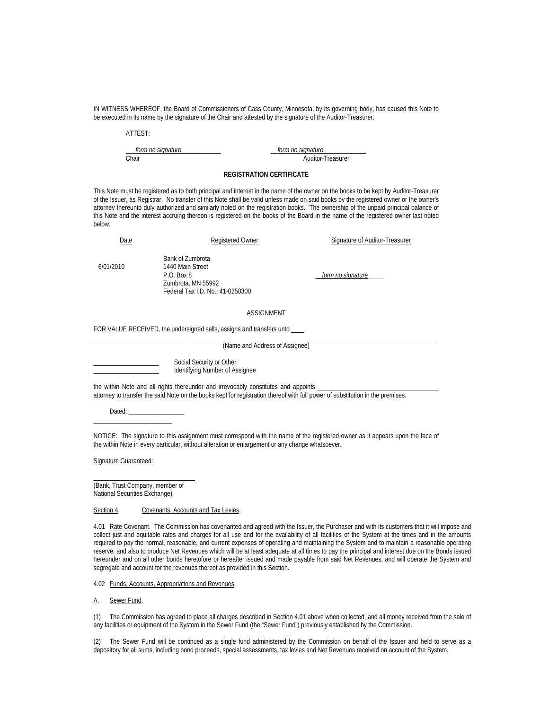IN WITNESS WHEREOF, the Board of Commissioners of Cass County, Minnesota, by its governing body, has caused this Note to be executed in its name by the signature of the Chair and attested by the signature of the Auditor-Treasurer.

ATTEST:

\_\_\_*form no signature*\_\_\_\_\_\_\_\_\_\_\_\_ \_\_*form no signature*\_\_\_\_\_\_\_\_\_\_\_\_\_

Auditor-Treasurer

# **REGISTRATION CERTIFICATE**

This Note must be registered as to both principal and interest in the name of the owner on the books to be kept by Auditor-Treasurer of the Issuer, as Registrar. No transfer of this Note shall be valid unless made on said books by the registered owner or the owner's attorney thereunto duly authorized and similarly noted on the registration books. The ownership of the unpaid principal balance of this Note and the interest accruing thereon is registered on the books of the Board in the name of the registered owner last noted below.

| Date      | <b>Registered Owner</b>                                                                                        | Signature of Auditor-Treasurer |
|-----------|----------------------------------------------------------------------------------------------------------------|--------------------------------|
| 6/01/2010 | Bank of Zumbrota<br>1440 Main Street<br>$P.O.$ Box 8<br>Zumbrota, MN 55992<br>Federal Tax I.D. No.: 41-0250300 | form no signature              |

# ASSIGNMENT

FOR VALUE RECEIVED, the undersigned sells, assigns and transfers unto \_

\_\_\_\_\_\_\_\_\_\_\_\_\_\_\_\_\_\_\_\_\_\_\_\_\_\_\_\_\_\_\_\_\_\_\_\_\_\_\_\_\_\_\_\_\_\_\_\_\_\_\_\_\_\_\_\_\_\_\_\_\_\_\_\_\_\_\_\_\_\_\_\_\_\_\_\_\_\_\_\_\_\_\_\_\_\_\_\_\_\_\_\_\_\_\_\_\_\_\_\_\_\_\_\_\_ (Name and Address of Assignee)

Social Security or Other Identifying Number of Assignee

the within Note and all rights thereunder and irrevocably constitutes and appoints attorney to transfer the said Note on the books kept for registration thereof with full power of substitution in the premises.

Dated:  $\_$ 

 $\_$ 

NOTICE: The signature to this assignment must correspond with the name of the registered owner as it appears upon the face of the within Note in every particular, without alteration or enlargement or any change whatsoever.

Signature Guaranteed:

 $\_$ (Bank, Trust Company, member of National Securities Exchange)

#### Section 4. Covenants, Accounts and Tax Levies

4.01 Rate Covenant. The Commission has covenanted and agreed with the Issuer, the Purchaser and with its customers that it will impose and collect just and equitable rates and charges for all use and for the availability of all facilities of the System at the times and in the amounts required to pay the normal, reasonable, and current expenses of operating and maintaining the System and to maintain a reasonable operating reserve, and also to produce Net Revenues which will be at least adequate at all times to pay the principal and interest due on the Bonds issued hereunder and on all other bonds heretofore or hereafter issued and made payable from said Net Revenues, and will operate the System and segregate and account for the revenues thereof as provided in this Section.

4.02 Funds, Accounts, Appropriations and Revenues.

A. Sewer Fund.

(1) The Commission has agreed to place all charges described in Section 4.01 above when collected, and all money received from the sale of any facilities or equipment of the System in the Sewer Fund (the "Sewer Fund") previously established by the Commission.

(2) The Sewer Fund will be continued as a single fund administered by the Commission on behalf of the Issuer and held to serve as a depository for all sums, including bond proceeds, special assessments, tax levies and Net Revenues received on account of the System.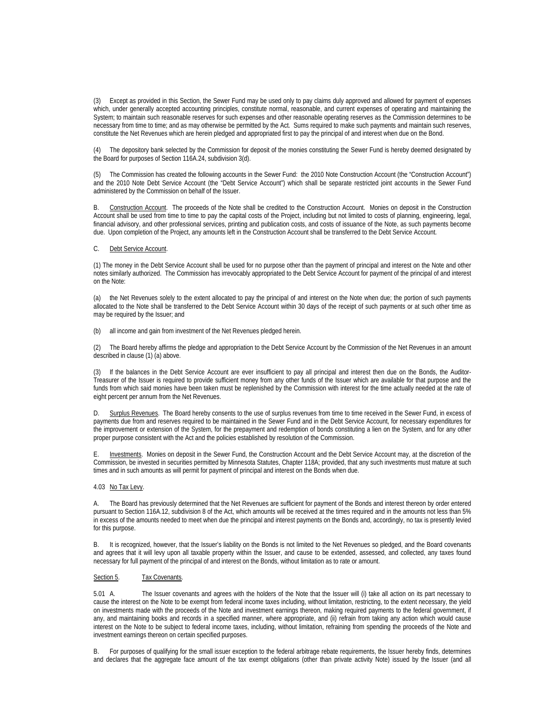(3) Except as provided in this Section, the Sewer Fund may be used only to pay claims duly approved and allowed for payment of expenses which, under generally accepted accounting principles, constitute normal, reasonable, and current expenses of operating and maintaining the System; to maintain such reasonable reserves for such expenses and other reasonable operating reserves as the Commission determines to be necessary from time to time; and as may otherwise be permitted by the Act. Sums required to make such payments and maintain such reserves, constitute the Net Revenues which are herein pledged and appropriated first to pay the principal of and interest when due on the Bond.

(4) The depository bank selected by the Commission for deposit of the monies constituting the Sewer Fund is hereby deemed designated by the Board for purposes of Section 116A.24, subdivision 3(d).

(5) The Commission has created the following accounts in the Sewer Fund: the 2010 Note Construction Account (the "Construction Account") and the 2010 Note Debt Service Account (the "Debt Service Account") which shall be separate restricted joint accounts in the Sewer Fund administered by the Commission on behalf of the Issuer.

Construction Account. The proceeds of the Note shall be credited to the Construction Account. Monies on deposit in the Construction Account shall be used from time to time to pay the capital costs of the Project, including but not limited to costs of planning, engineering, legal, financial advisory, and other professional services, printing and publication costs, and costs of issuance of the Note, as such payments become due. Upon completion of the Project, any amounts left in the Construction Account shall be transferred to the Debt Service Account.

# C. Debt Service Account.

(1) The money in the Debt Service Account shall be used for no purpose other than the payment of principal and interest on the Note and other notes similarly authorized. The Commission has irrevocably appropriated to the Debt Service Account for payment of the principal of and interest on the Note:

(a) the Net Revenues solely to the extent allocated to pay the principal of and interest on the Note when due; the portion of such payments allocated to the Note shall be transferred to the Debt Service Account within 30 days of the receipt of such payments or at such other time as may be required by the Issuer; and

(b) all income and gain from investment of the Net Revenues pledged herein.

(2) The Board hereby affirms the pledge and appropriation to the Debt Service Account by the Commission of the Net Revenues in an amount described in clause (1) (a) above.

(3) If the balances in the Debt Service Account are ever insufficient to pay all principal and interest then due on the Bonds, the Auditor-Treasurer of the Issuer is required to provide sufficient money from any other funds of the Issuer which are available for that purpose and the funds from which said monies have been taken must be replenished by the Commission with interest for the time actually needed at the rate of eight percent per annum from the Net Revenues.

D. Surplus Revenues. The Board hereby consents to the use of surplus revenues from time to time received in the Sewer Fund, in excess of payments due from and reserves required to be maintained in the Sewer Fund and in the Debt Service Account, for necessary expenditures for the improvement or extension of the System, for the prepayment and redemption of bonds constituting a lien on the System, and for any other proper purpose consistent with the Act and the policies established by resolution of the Commission.

E. Investments. Monies on deposit in the Sewer Fund, the Construction Account and the Debt Service Account may, at the discretion of the Commission, be invested in securities permitted by Minnesota Statutes, Chapter 118A; provided, that any such investments must mature at such times and in such amounts as will permit for payment of principal and interest on the Bonds when due.

# 4.03 No Tax Levy.

A. The Board has previously determined that the Net Revenues are sufficient for payment of the Bonds and interest thereon by order entered pursuant to Section 116A.12, subdivision 8 of the Act, which amounts will be received at the times required and in the amounts not less than 5% in excess of the amounts needed to meet when due the principal and interest payments on the Bonds and, accordingly, no tax is presently levied for this purpose.

B. It is recognized, however, that the Issuer's liability on the Bonds is not limited to the Net Revenues so pledged, and the Board covenants and agrees that it will levy upon all taxable property within the Issuer, and cause to be extended, assessed, and collected, any taxes found necessary for full payment of the principal of and interest on the Bonds, without limitation as to rate or amount.

# Section 5. Tax Covenants.

5.01 A. The Issuer covenants and agrees with the holders of the Note that the Issuer will (i) take all action on its part necessary to cause the interest on the Note to be exempt from federal income taxes including, without limitation, restricting, to the extent necessary, the yield on investments made with the proceeds of the Note and investment earnings thereon, making required payments to the federal government, if any, and maintaining books and records in a specified manner, where appropriate, and (ii) refrain from taking any action which would cause interest on the Note to be subject to federal income taxes, including, without limitation, refraining from spending the proceeds of the Note and investment earnings thereon on certain specified purposes.

B. For purposes of qualifying for the small issuer exception to the federal arbitrage rebate requirements, the Issuer hereby finds, determines and declares that the aggregate face amount of the tax exempt obligations (other than private activity Note) issued by the Issuer (and all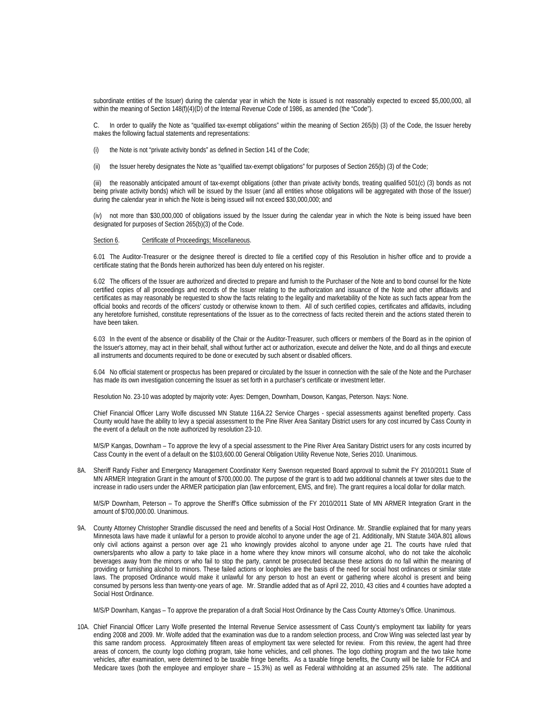subordinate entities of the Issuer) during the calendar year in which the Note is issued is not reasonably expected to exceed \$5,000,000, all within the meaning of Section 148(f)(4)(D) of the Internal Revenue Code of 1986, as amended (the "Code").

C. In order to qualify the Note as "qualified tax-exempt obligations" within the meaning of Section 265(b) (3) of the Code, the Issuer hereby makes the following factual statements and representations:

- (i) the Note is not "private activity bonds" as defined in Section 141 of the Code;
- (ii) the Issuer hereby designates the Note as "qualified tax-exempt obligations" for purposes of Section 265(b) (3) of the Code;

(iii) the reasonably anticipated amount of tax-exempt obligations (other than private activity bonds, treating qualified 501(c) (3) bonds as not being private activity bonds) which will be issued by the Issuer (and all entities whose obligations will be aggregated with those of the Issuer) during the calendar year in which the Note is being issued will not exceed \$30,000,000; and

(iv) not more than \$30,000,000 of obligations issued by the Issuer during the calendar year in which the Note is being issued have been designated for purposes of Section 265(b)(3) of the Code.

#### Section 6. Certificate of Proceedings; Miscellaneous.

6.01 The Auditor-Treasurer or the designee thereof is directed to file a certified copy of this Resolution in his/her office and to provide a certificate stating that the Bonds herein authorized has been duly entered on his register.

6.02 The officers of the Issuer are authorized and directed to prepare and furnish to the Purchaser of the Note and to bond counsel for the Note certified copies of all proceedings and records of the Issuer relating to the authorization and issuance of the Note and other affidavits and certificates as may reasonably be requested to show the facts relating to the legality and marketability of the Note as such facts appear from the official books and records of the officers' custody or otherwise known to them. All of such certified copies, certificates and affidavits, including any heretofore furnished, constitute representations of the Issuer as to the correctness of facts recited therein and the actions stated therein to have been taken.

6.03 In the event of the absence or disability of the Chair or the Auditor-Treasurer, such officers or members of the Board as in the opinion of the Issuer's attorney, may act in their behalf, shall without further act or authorization, execute and deliver the Note, and do all things and execute all instruments and documents required to be done or executed by such absent or disabled officers.

6.04 No official statement or prospectus has been prepared or circulated by the Issuer in connection with the sale of the Note and the Purchaser has made its own investigation concerning the Issuer as set forth in a purchaser's certificate or investment letter.

Resolution No. 23-10 was adopted by majority vote: Ayes: Demgen, Downham, Dowson, Kangas, Peterson. Nays: None.

Chief Financial Officer Larry Wolfe discussed MN Statute 116A.22 Service Charges - special assessments against benefited property. Cass County would have the ability to levy a special assessment to the Pine River Area Sanitary District users for any cost incurred by Cass County in the event of a default on the note authorized by resolution 23-10.

M/S/P Kangas, Downham – To approve the levy of a special assessment to the Pine River Area Sanitary District users for any costs incurred by Cass County in the event of a default on the \$103,600.00 General Obligation Utility Revenue Note, Series 2010. Unanimous.

8A. Sheriff Randy Fisher and Emergency Management Coordinator Kerry Swenson requested Board approval to submit the FY 2010/2011 State of MN ARMER Integration Grant in the amount of \$700,000.00. The purpose of the grant is to add two additional channels at tower sites due to the increase in radio users under the ARMER participation plan (law enforcement, EMS, and fire). The grant requires a local dollar for dollar match.

 M/S/P Downham, Peterson – To approve the Sheriff's Office submission of the FY 2010/2011 State of MN ARMER Integration Grant in the amount of \$700,000.00. Unanimous.

9A. County Attorney Christopher Strandlie discussed the need and benefits of a Social Host Ordinance. Mr. Strandlie explained that for many years Minnesota laws have made it unlawful for a person to provide alcohol to anyone under the age of 21. Additionally, MN Statute 340A.801 allows only civil actions against a person over age 21 who knowingly provides alcohol to anyone under age 21. The courts have ruled that owners/parents who allow a party to take place in a home where they know minors will consume alcohol, who do not take the alcoholic beverages away from the minors or who fail to stop the party, cannot be prosecuted because these actions do no fall within the meaning of providing or furnishing alcohol to minors. These failed actions or loopholes are the basis of the need for social host ordinances or similar state laws. The proposed Ordinance would make it unlawful for any person to host an event or gathering where alcohol is present and being consumed by persons less than twenty-one years of age. Mr. Strandlie added that as of April 22, 2010, 43 cities and 4 counties have adopted a Social Host Ordinance.

M/S/P Downham, Kangas – To approve the preparation of a draft Social Host Ordinance by the Cass County Attorney's Office. Unanimous.

10A. Chief Financial Officer Larry Wolfe presented the Internal Revenue Service assessment of Cass County's employment tax liability for years ending 2008 and 2009. Mr. Wolfe added that the examination was due to a random selection process, and Crow Wing was selected last year by this same random process. Approximately fifteen areas of employment tax were selected for review. From this review, the agent had three areas of concern, the county logo clothing program, take home vehicles, and cell phones. The logo clothing program and the two take home vehicles, after examination, were determined to be taxable fringe benefits. As a taxable fringe benefits, the County will be liable for FICA and Medicare taxes (both the employee and employer share – 15.3%) as well as Federal withholding at an assumed 25% rate. The additional